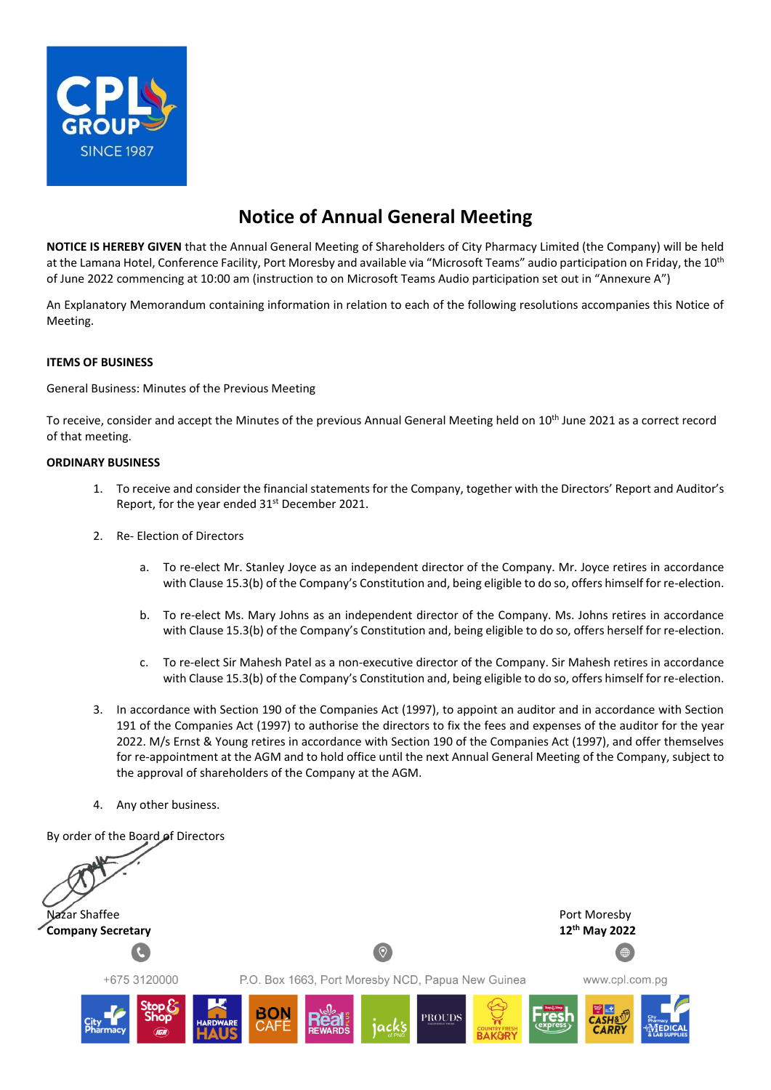

# **Notice of Annual General Meeting**

**NOTICE IS HEREBY GIVEN** that the Annual General Meeting of Shareholders of City Pharmacy Limited (the Company) will be held at the Lamana Hotel, Conference Facility, Port Moresby and available via "Microsoft Teams" audio participation on Friday, the 10<sup>th</sup> of June 2022 commencing at 10:00 am (instruction to on Microsoft Teams Audio participation set out in "Annexure A")

An Explanatory Memorandum containing information in relation to each of the following resolutions accompanies this Notice of Meeting.

#### **ITEMS OF BUSINESS**

General Business: Minutes of the Previous Meeting

To receive, consider and accept the Minutes of the previous Annual General Meeting held on 10th June 2021 as a correct record of that meeting.

#### **ORDINARY BUSINESS**

- 1. To receive and consider the financial statements for the Company, together with the Directors' Report and Auditor's Report, for the year ended 31<sup>st</sup> December 2021.
- 2. Re- Election of Directors
	- a. To re-elect Mr. Stanley Joyce as an independent director of the Company. Mr. Joyce retires in accordance with Clause 15.3(b) of the Company's Constitution and, being eligible to do so, offers himself for re-election.
	- b. To re-elect Ms. Mary Johns as an independent director of the Company. Ms. Johns retires in accordance with Clause 15.3(b) of the Company's Constitution and, being eligible to do so, offers herself for re-election.
	- c. To re-elect Sir Mahesh Patel as a non-executive director of the Company. Sir Mahesh retires in accordance with Clause 15.3(b) of the Company's Constitution and, being eligible to do so, offers himself for re-election.
- 3. In accordance with Section 190 of the Companies Act (1997), to appoint an auditor and in accordance with Section 191 of the Companies Act (1997) to authorise the directors to fix the fees and expenses of the auditor for the year 2022. M/s Ernst & Young retires in accordance with Section 190 of the Companies Act (1997), and offer themselves for re-appointment at the AGM and to hold office until the next Annual General Meeting of the Company, subject to the approval of shareholders of the Company at the AGM.
- 4. Any other business.

By order of the Board of Directors Nazar Shaffee **Port Moresby Shaffee Port Moresby Shaffee** Port Moresby **th May 2022Company Secretary**  $\circ$ +675 3120000 P.O. Box 1663, Port Moresby NCD, Papua New Guinea www.cpl.com.pg **PROUD**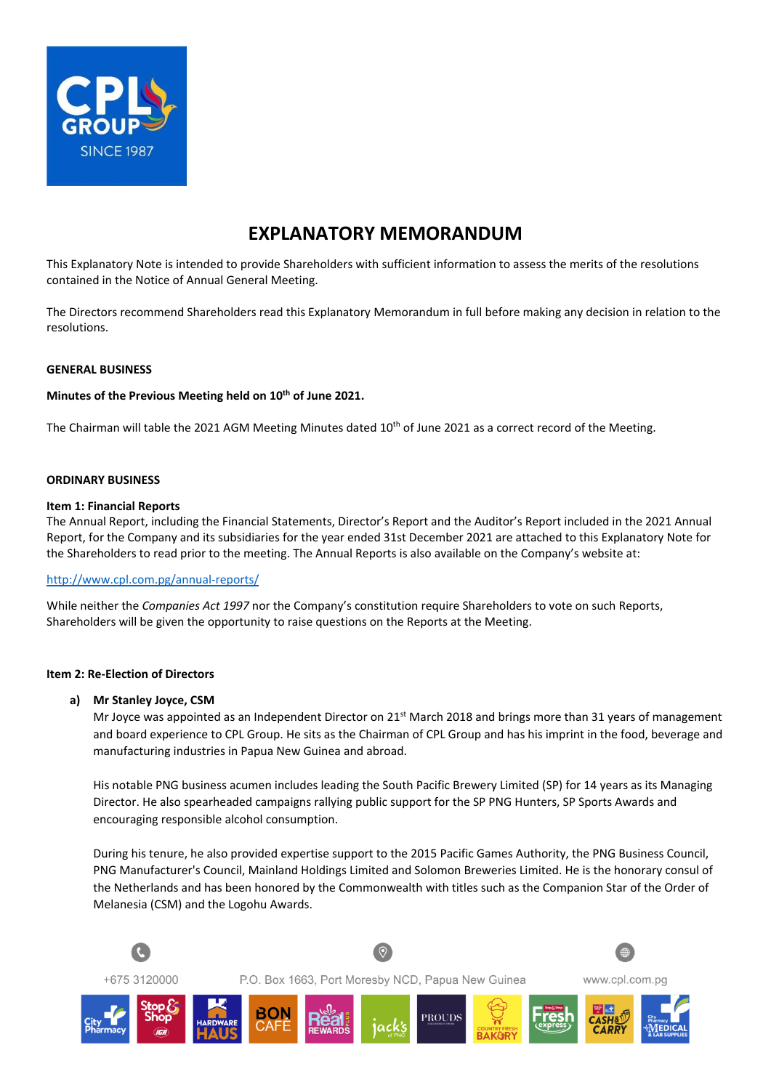

## **EXPLANATORY MEMORANDUM**

This Explanatory Note is intended to provide Shareholders with sufficient information to assess the merits of the resolutions contained in the Notice of Annual General Meeting.

The Directors recommend Shareholders read this Explanatory Memorandum in full before making any decision in relation to the resolutions.

#### **GENERAL BUSINESS**

#### **Minutes of the Previous Meeting held on 10th of June 2021.**

The Chairman will table the 2021 AGM Meeting Minutes dated 10<sup>th</sup> of June 2021 as a correct record of the Meeting.

#### **ORDINARY BUSINESS**

#### **Item 1: Financial Reports**

The Annual Report, including the Financial Statements, Director's Report and the Auditor's Report included in the 2021 Annual Report, for the Company and its subsidiaries for the year ended 31st December 2021 are attached to this Explanatory Note for the Shareholders to read prior to the meeting. The Annual Reports is also available on the Company's website at:

#### <http://www.cpl.com.pg/annual-reports/>

While neither the *Companies Act 1997* nor the Company's constitution require Shareholders to vote on such Reports, Shareholders will be given the opportunity to raise questions on the Reports at the Meeting.

#### **Item 2: Re-Election of Directors**

#### **a) Mr Stanley Joyce, CSM**

Mr Joyce was appointed as an Independent Director on 21<sup>st</sup> March 2018 and brings more than 31 years of management and board experience to CPL Group. He sits as the Chairman of CPL Group and has his imprint in the food, beverage and manufacturing industries in Papua New Guinea and abroad.

His notable PNG business acumen includes leading the South Pacific Brewery Limited (SP) for 14 years as its Managing Director. He also spearheaded campaigns rallying public support for the SP PNG Hunters, SP Sports Awards and encouraging responsible alcohol consumption.

During his tenure, he also provided expertise support to the 2015 Pacific Games Authority, the PNG Business Council, PNG Manufacturer's Council, Mainland Holdings Limited and Solomon Breweries Limited. He is the honorary consul of the Netherlands and has been honored by the Commonwealth with titles such as the Companion Star of the Order of Melanesia (CSM) and the Logohu Awards.

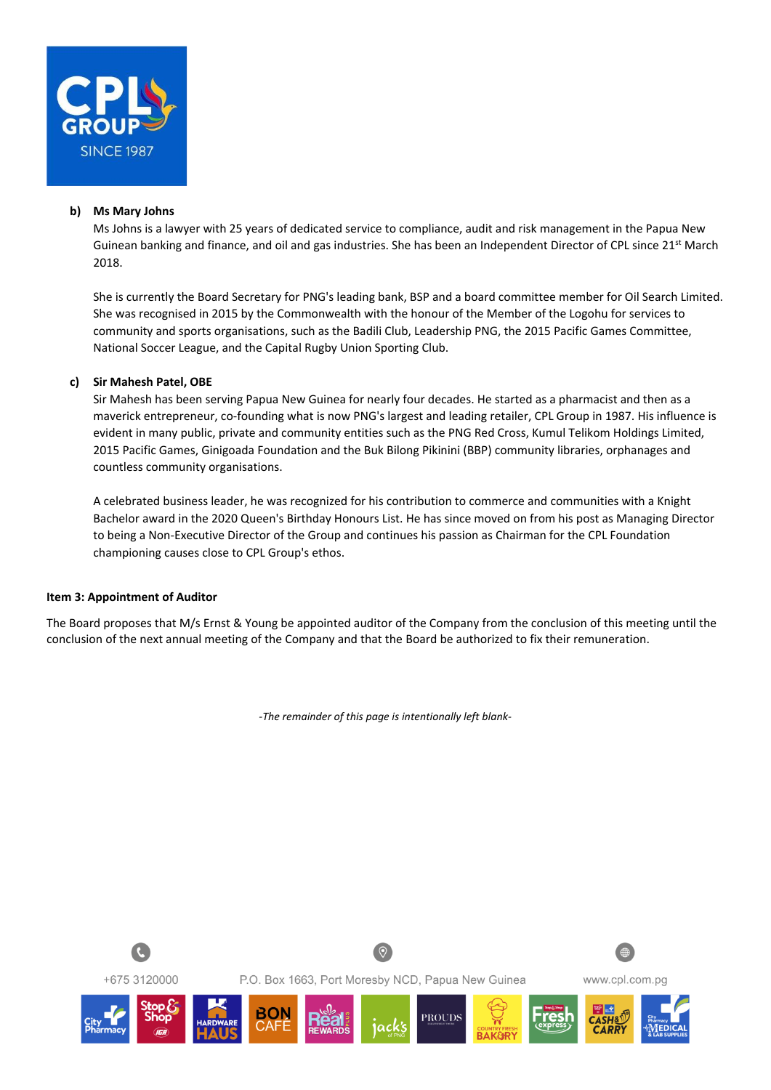

#### **b) Ms Mary Johns**

Ms Johns is a lawyer with 25 years of dedicated service to compliance, audit and risk management in the Papua New Guinean banking and finance, and oil and gas industries. She has been an Independent Director of CPL since 21<sup>st</sup> March 2018.

She is currently the Board Secretary for PNG's leading bank, BSP and a board committee member for Oil Search Limited. She was recognised in 2015 by the Commonwealth with the honour of the Member of the Logohu for services to community and sports organisations, such as the Badili Club, Leadership PNG, the 2015 Pacific Games Committee, National Soccer League, and the Capital Rugby Union Sporting Club.

#### **c) Sir Mahesh Patel, OBE**

Sir Mahesh has been serving Papua New Guinea for nearly four decades. He started as a pharmacist and then as a maverick entrepreneur, co-founding what is now PNG's largest and leading retailer, CPL Group in 1987. His influence is evident in many public, private and community entities such as the PNG Red Cross, Kumul Telikom Holdings Limited, 2015 Pacific Games, Ginigoada Foundation and the Buk Bilong Pikinini (BBP) community libraries, orphanages and countless community organisations.

A celebrated business leader, he was recognized for his contribution to commerce and communities with a Knight Bachelor award in the 2020 Queen's Birthday Honours List. He has since moved on from his post as Managing Director to being a Non-Executive Director of the Group and continues his passion as Chairman for the CPL Foundation championing causes close to CPL Group's ethos.

#### **Item 3: Appointment of Auditor**

The Board proposes that M/s Ernst & Young be appointed auditor of the Company from the conclusion of this meeting until the conclusion of the next annual meeting of the Company and that the Board be authorized to fix their remuneration.

*-The remainder of this page is intentionally left blank-*